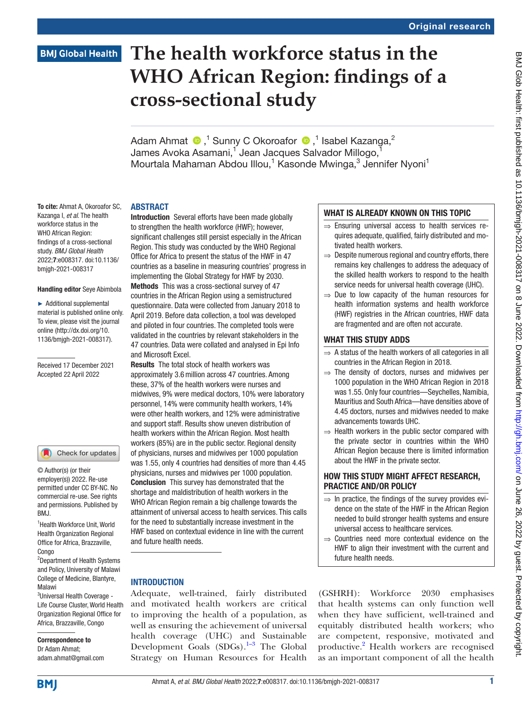## **BMJ Global Health**

# **The health workforce status in the WHO African Region: findings of a cross-sectional study**

Adam Ahmat  $\bigcirc$ ,<sup>1</sup> Sunny C Okoroafor  $\bigcirc$ ,<sup>1</sup> Isabel Kazanga,<sup>2</sup> James Avoka Asamani, $^1$  Jean Jacques Salvador Millogo, $^1$ Mourtala Mahaman Abdou Illou,<sup>1</sup> Kasonde Mwinga,<sup>3</sup> Jennifer Nyoni<sup>1</sup>

## ABSTRACT

To cite: Ahmat A, Okoroafor SC, Kazanga I, *et al*. The health workforce status in the WHO African Region: findings of a cross-sectional study. *BMJ Global Health* 2022;7:e008317. doi:10.1136/ bmjgh-2021-008317

#### Handling editor Seye Abimbola

► Additional supplemental material is published online only. To view, please visit the journal online ([http://dx.doi.org/10.](http://dx.doi.org/10.1136/bmjgh-2021-008317) [1136/bmjgh-2021-008317](http://dx.doi.org/10.1136/bmjgh-2021-008317)).

#### Received 17 December 2021 Accepted 22 April 2022

#### Check for updates

© Author(s) (or their employer(s)) 2022. Re-use permitted under CC BY-NC. No commercial re-use. See rights and permissions. Published by BMJ.

<sup>1</sup> Health Workforce Unit, World Health Organization Regional Office for Africa, Brazzaville, Congo

2 Department of Health Systems and Policy, University of Malawi College of Medicine, Blantyre, Malawi

<sup>3</sup>Universal Health Coverage -Life Course Cluster, World Health Organization Regional Office for Africa, Brazzaville, Congo

Correspondence to Dr Adam Ahmat; adam.ahmat@gmail.com

Introduction Several efforts have been made globally to strengthen the health workforce (HWF); however, significant challenges still persist especially in the African Region. This study was conducted by the WHO Regional Office for Africa to present the status of the HWF in 47 countries as a baseline in measuring countries' progress in implementing the Global Strategy for HWF by 2030. Methods This was a cross-sectional survey of 47 countries in the African Region using a semistructured questionnaire. Data were collected from January 2018 to April 2019. Before data collection, a tool was developed and piloted in four countries. The completed tools were validated in the countries by relevant stakeholders in the 47 countries. Data were collated and analysed in Epi Info and Microsoft Excel.

Results The total stock of health workers was approximately 3.6million across 47 countries. Among these, 37% of the health workers were nurses and midwives, 9% were medical doctors, 10% were laboratory personnel, 14% were community health workers, 14% were other health workers, and 12% were administrative and support staff. Results show uneven distribution of health workers within the African Region. Most health workers (85%) are in the public sector. Regional density of physicians, nurses and midwives per 1000 population was 1.55, only 4 countries had densities of more than 4.45 physicians, nurses and midwives per 1000 population. Conclusion This survey has demonstrated that the shortage and maldistribution of health workers in the WHO African Region remain a big challenge towards the attainment of universal access to health services. This calls for the need to substantially increase investment in the HWF based on contextual evidence in line with the current and future health needs.

## **INTRODUCTION**

Adequate, well-trained, fairly distributed and motivated health workers are critical to improving the health of a population, as well as ensuring the achievement of universal health coverage (UHC) and Sustainable Development Goals  $(SDGs)$ .<sup>1–3</sup> The Global Strategy on Human Resources for Health

## WHAT IS ALREADY KNOWN ON THIS TOPIC

- ⇒ Ensuring universal access to health services requires adequate, qualified, fairly distributed and motivated health workers.
- $\Rightarrow$  Despite numerous regional and country efforts, there remains key challenges to address the adequacy of the skilled health workers to respond to the health service needs for universal health coverage (UHC).
- $\Rightarrow$  Due to low capacity of the human resources for health information systems and health workforce (HWF) registries in the African countries, HWF data are fragmented and are often not accurate.

## WHAT THIS STUDY ADDS

- $\Rightarrow$  A status of the health workers of all categories in all countries in the African Region in 2018.
- $\Rightarrow$  The density of doctors, nurses and midwives per 1000 population in the WHO African Region in 2018 was 1.55. Only four countries—Seychelles, Namibia, Mauritius and South Africa—have densities above of 4.45 doctors, nurses and midwives needed to make advancements towards UHC.
- $\Rightarrow$  Health workers in the public sector compared with the private sector in countries within the WHO African Region because there is limited information about the HWF in the private sector.

## HOW THIS STUDY MIGHT AFFECT RESEARCH, PRACTICE AND/OR POLICY

- $\Rightarrow$  In practice, the findings of the survey provides evidence on the state of the HWF in the African Region needed to build stronger health systems and ensure universal access to healthcare services.
- ⇒ Countries need more contextual evidence on the HWF to align their investment with the current and future health needs.

(GSHRH): Workforce 2030 emphasises that health systems can only function well when they have sufficient, well-trained and equitably distributed health workers; who are competent, responsive, motivated and productive.[2](#page-7-1) Health workers are recognised as an important component of all the health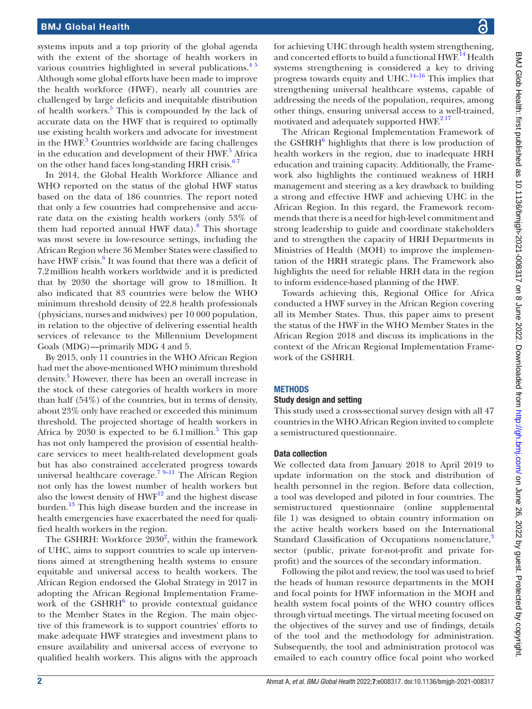### BMJ Global Health

systems inputs and a top priority of the global agenda with the extent of the shortage of health workers in various countries highlighted in several publications.<sup>45</sup> Although some global efforts have been made to improve the health workforce (HWF), nearly all countries are challenged by large deficits and inequitable distribution of health workers.<sup>[5](#page-7-3)</sup> This is compounded by the lack of accurate data on the HWF that is required to optimally use existing health workers and advocate for investment in the HWF.<sup>[3](#page-7-4)</sup> Countries worldwide are facing challenges in the education and development of their HWF.<sup>[5](#page-7-3)</sup> Africa on the other hand faces long-standing HRH crisis.<sup>67</sup>

In 2014, the Global Health Workforce Alliance and WHO reported on the status of the global HWF status based on the data of 186 countries. The report noted that only a few countries had comprehensive and accurate data on the existing health workers (only 53% of them had reported annual HWF data).<sup>[8](#page-7-6)</sup> This shortage was most severe in low-resource settings, including the African Region where 36 Member States were classified to have HWF crisis.<sup>[6](#page-7-5)</sup> It was found that there was a deficit of 7.2 million health workers worldwide' and it is predicted that by 2030 the shortage will grow to 18million. It also indicated that 83 countries were below the WHO minimum threshold density of 22.8 health professionals (physicians, nurses and midwives) per 10 000 population, in relation to the objective of delivering essential health services of relevance to the Millennium Development Goals (MDG)—primarily MDG 4 and 5.

By 2015, only 11 countries in the WHO African Region had met the above-mentioned WHO minimum threshold density. [5](#page-7-3) However, there has been an overall increase in the stock of these categories of health workers in more than half (54%) of the countries, but in terms of density, about 23% only have reached or exceeded this minimum threshold. The projected shortage of health workers in Africa by 2030 is expected to be  $6.1$  million.<sup>[5](#page-7-3)</sup> This gap has not only hampered the provision of essential healthcare services to meet health-related development goals but has also constrained accelerated progress towards universal healthcare coverage.<sup>7 9-11</sup> The African Region not only has the lowest number of health workers but also the lowest density of  $HWF^{12}$  and the highest disease burden.[13](#page-7-9) This high disease burden and the increase in health emergencies have exacerbated the need for qualified health workers in the region.

The GSHRH: Workforce  $2030^2$  $2030^2$ , within the framework of UHC, aims to support countries to scale up interventions aimed at strengthening health systems to ensure equitable and universal access to health workers. The African Region endorsed the Global Strategy in 2017 in adopting the African Regional Implementation Frame-work of the GSHRH<sup>[6](#page-7-5)</sup> to provide contextual guidance to the Member States in the Region. The main objective of this framework is to support countries' efforts to make adequate HWF strategies and investment plans to ensure availability and universal access of everyone to qualified health workers. This aligns with the approach

for achieving UHC through health system strengthening, and concerted efforts to build a functional HWF.<sup>14</sup> Health systems strengthening is considered a key to driving progress towards equity and UHC.[14–16](#page-7-10) This implies that strengthening universal healthcare systems, capable of addressing the needs of the population, requires, among other things, ensuring universal access to a well-trained, motivated and adequately supported HWF.<sup>217</sup>

The African Regional Implementation Framework of the GSHRH<sup>[6](#page-7-5)</sup> highlights that there is low production of health workers in the region, due to inadequate HRH education and training capacity. Additionally, the Framework also highlights the continued weakness of HRH management and steering as a key drawback to building a strong and effective HWF and achieving UHC in the African Region. In this regard, the Framework recommends that there is a need for high-level commitment and strong leadership to guide and coordinate stakeholders and to strengthen the capacity of HRH Departments in Ministries of Health (MOH) to improve the implementation of the HRH strategic plans. The Framework also highlights the need for reliable HRH data in the region to inform evidence-based planning of the HWF.

Towards achieving this, Regional Office for Africa conducted a HWF survey in the African Region covering all its Member States. Thus, this paper aims to present the status of the HWF in the WHO Member States in the African Region 2018 and discuss its implications in the context of the African Regional Implementation Framework of the GSHRH.

## **METHODS**

#### Study design and setting

This study used a cross-sectional survey design with all 47 countries in the WHO African Region invited to complete a semistructured questionnaire.

#### Data collection

We collected data from January 2018 to April 2019 to update information on the stock and distribution of health personnel in the region. Before data collection, a tool was developed and piloted in four countries. The semistructured questionnaire [\(online supplemental](https://dx.doi.org/10.1136/bmjgh-2021-008317) [file 1](https://dx.doi.org/10.1136/bmjgh-2021-008317)) was designed to obtain country information on the active health workers based on the International Standard Classification of Occupations nomenclature,<sup>[3](#page-7-4)</sup> sector (public, private for-not-profit and private forprofit) and the sources of the secondary information.

Following the pilot and review, the tool was used to brief the heads of human resource departments in the MOH and focal points for HWF information in the MOH and health system focal points of the WHO country offices through virtual meetings. The virtual meeting focused on the objectives of the survey and use of findings, details of the tool and the methodology for administration. Subsequently, the tool and administration protocol was emailed to each country office focal point who worked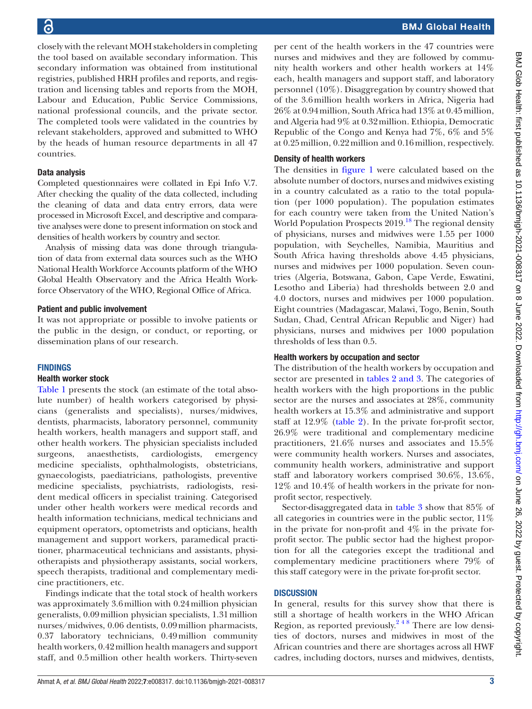closely with the relevant MOH stakeholders in completing the tool based on available secondary information. This secondary information was obtained from institutional registries, published HRH profiles and reports, and registration and licensing tables and reports from the MOH, Labour and Education, Public Service Commissions, national professional councils, and the private sector. The completed tools were validated in the countries by relevant stakeholders, approved and submitted to WHO by the heads of human resource departments in all 47 countries.

## Data analysis

Completed questionnaires were collated in Epi Info V.7. After checking the quality of the data collected, including the cleaning of data and data entry errors, data were processed in Microsoft Excel, and descriptive and comparative analyses were done to present information on stock and densities of health workers by country and sector.

Analysis of missing data was done through triangulation of data from external data sources such as the WHO National Health Workforce Accounts platform of the WHO Global Health Observatory and the Africa Health Workforce Observatory of the WHO, Regional Office of Africa.

## Patient and public involvement

It was not appropriate or possible to involve patients or the public in the design, or conduct, or reporting, or dissemination plans of our research.

## **FINDINGS**

## Health worker stock

[Table](#page-3-0) 1 presents the stock (an estimate of the total absolute number) of health workers categorised by physicians (generalists and specialists), nurses/midwives, dentists, pharmacists, laboratory personnel, community health workers, health managers and support staff, and other health workers. The physician specialists included surgeons, anaesthetists, cardiologists, emergency medicine specialists, ophthalmologists, obstetricians, gynaecologists, paediatricians, pathologists, preventive medicine specialists, psychiatrists, radiologists, resident medical officers in specialist training. Categorised under other health workers were medical records and health information technicians, medical technicians and equipment operators, optometrists and opticians, health management and support workers, paramedical practitioner, pharmaceutical technicians and assistants, physiotherapists and physiotherapy assistants, social workers, speech therapists, traditional and complementary medicine practitioners, etc.

Findings indicate that the total stock of health workers was approximately 3.6million with 0.24million physician generalists, 0.09million physician specialists, 1.31million nurses/midwives, 0.06 dentists, 0.09million pharmacists, 0.37 laboratory technicians, 0.49million community health workers, 0.42million health managers and support staff, and 0.5million other health workers. Thirty-seven

per cent of the health workers in the 47 countries were nurses and midwives and they are followed by community health workers and other health workers at 14% each, health managers and support staff, and laboratory personnel (10%). Disaggregation by country showed that of the 3.6million health workers in Africa, Nigeria had 26% at 0.94million, South Africa had 13% at 0.45million, and Algeria had 9% at 0.32million. Ethiopia, Democratic Republic of the Congo and Kenya had 7%, 6% and 5% at 0.25million, 0.22million and 0.16million, respectively.

## Density of health workers

The densities in [figure](#page-5-0) 1 were calculated based on the absolute number of doctors, nurses and midwives existing in a country calculated as a ratio to the total population (per 1000 population). The population estimates for each country were taken from the United Nation's World Population Prospects  $2019$ <sup>18</sup> The regional density of physicians, nurses and midwives were 1.55 per 1000 population, with Seychelles, Namibia, Mauritius and South Africa having thresholds above 4.45 physicians, nurses and midwives per 1000 population. Seven countries (Algeria, Botswana, Gabon, Cape Verde, Eswatini, Lesotho and Liberia) had thresholds between 2.0 and 4.0 doctors, nurses and midwives per 1000 population. Eight countries (Madagascar, Malawi, Togo, Benin, South Sudan, Chad, Central African Republic and Niger) had physicians, nurses and midwives per 1000 population thresholds of less than 0.5.

## Health workers by occupation and sector

The distribution of the health workers by occupation and sector are presented in tables [2 and 3.](#page-5-1) The categories of health workers with the high proportions in the public sector are the nurses and associates at 28%, community health workers at 15.3% and administrative and support staff at 12.9% ([table](#page-5-1) 2). In the private for-profit sector, 26.9% were traditional and complementary medicine practitioners, 21.6% nurses and associates and 15.5% were community health workers. Nurses and associates, community health workers, administrative and support staff and laboratory workers comprised 30.6%, 13.6%, 12% and 10.4% of health workers in the private for nonprofit sector, respectively.

Sector-disaggregated data in [table](#page-6-0) 3 show that 85% of all categories in countries were in the public sector, 11% in the private for non-profit and 4% in the private forprofit sector. The public sector had the highest proportion for all the categories except the traditional and complementary medicine practitioners where 79% of this staff category were in the private for-profit sector.

## **DISCUSSION**

In general, results for this survey show that there is still a shortage of health workers in the WHO African Region, as reported previously.<sup>248</sup> There are low densities of doctors, nurses and midwives in most of the African countries and there are shortages across all HWF cadres, including doctors, nurses and midwives, dentists,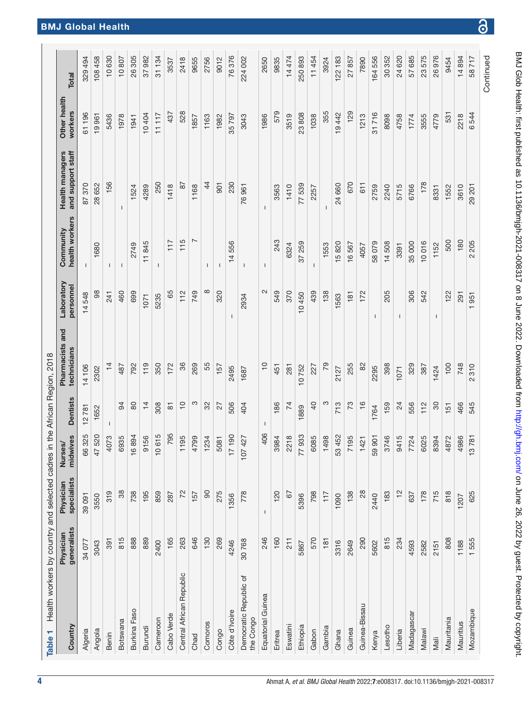<span id="page-3-0"></span>

| Health workers by country and selected cadres in the African Region, 2018<br>Country<br>Table 1 | generalists<br>Physician | specialists<br>Physician | midwives<br>Nurses/    | <b>Dentists</b> | Pharmacists and<br>technicians | Laboratory<br>personnel | health workers<br>Community | <b>Health managers</b><br>and support staff | Other health<br>workers | Total     |
|-------------------------------------------------------------------------------------------------|--------------------------|--------------------------|------------------------|-----------------|--------------------------------|-------------------------|-----------------------------|---------------------------------------------|-------------------------|-----------|
|                                                                                                 |                          |                          |                        |                 |                                |                         |                             |                                             |                         |           |
| Algeria                                                                                         | 34 077                   | 39 091                   | 66325                  | 1278            | 14 106                         | 14548                   | $\mathbf{I}$                | 87370                                       | 61196                   | 329494    |
| Angola                                                                                          | 3043                     | 3550                     | 47520                  | 1652            | 2302                           | 98                      | 1680                        | 28 652                                      | 19961                   | 108458    |
| Benin                                                                                           | 391                      | 319                      | 4073                   |                 | $\overline{4}$                 | 241                     | T                           | 156                                         | 5436                    | 10630     |
| Botswana                                                                                        | 815                      | 38                       | 6935                   | 94              | 487                            | 460                     | $\mathsf{I}$                | $\mathbf{I}$                                | 1978                    | 10807     |
| Burkina Faso                                                                                    | 888                      | 738                      | 16894                  | 80              | 792                            | 699                     | 2749                        | 1524                                        | 1941                    | 26305     |
| Burundi                                                                                         | 889                      | 195                      | 56<br>$\overline{5}$   | $\frac{1}{4}$   | 119                            | 1071                    | 11845                       | 4289                                        | 10404                   | 37982     |
| Cameroon                                                                                        | 2400                     | 859                      | 10615                  | 308             | 350                            | 5235                    | $\mathbf{I}$                | 250                                         | 11117                   | 31134     |
| Cabo Verde                                                                                      | 165                      | 287                      | 795                    | $\overline{8}$  | 172                            | 65                      | 117                         | 1418                                        | 437                     | 3537      |
| Central African Republic                                                                        | 263                      | 72                       | 1195                   | $\frac{0}{1}$   | 36                             | 112                     | 115                         | δ                                           | 528                     | 2418      |
| Chad                                                                                            | 646                      | 157                      | 4799                   | က               | 269                            | 749                     | N                           | 1168                                        | 1857                    | 9655      |
| Comoros                                                                                         | 130                      | 80                       | 1234                   | 32              | 55                             | $\infty$                | $\mathbf{I}$                | $\frac{4}{4}$                               | 1163                    | 2756      |
| Congo                                                                                           | 269                      | 275                      | 5081                   | 27              | 157                            | 320                     | -1                          | 901                                         | 1982                    | 9012      |
| Côte d'Ivoire                                                                                   | 4246                     | 1356                     | 190<br>$\overline{17}$ | 506             | 2495                           |                         | 14556                       | 230                                         | 35797                   | 76376     |
| Democratic Republic of<br>the Congo                                                             | 30768                    | 778                      | 107427                 | 404             | 1687                           | 2934                    | ı                           | 76961                                       | 3043                    | 224 002   |
| Equatorial Guinea                                                                               | 246                      | $\mathbf{I}$             | 406                    |                 | $\overline{C}$                 | 2                       | $\mathbf{I}$                | $\mathbf{I}$                                | 1986                    | 2650      |
| Eritrea                                                                                         | 160                      | 120                      | 3984                   | 186             | 451                            | 549                     | 243                         | 3563                                        | 579                     | 9835      |
| Eswatini                                                                                        | 211                      | 67                       | 2218                   | 74              | 281                            | 370                     | 6324                        | 1410                                        | 3519                    | 14474     |
| Ethiopia                                                                                        | 5867                     | 5396                     | 77933                  | 1889            | 10752                          | 10450                   | 37 259                      | 77539                                       | 23808                   | 250893    |
| Gabon                                                                                           | 570                      | 798                      | 6085                   | $\overline{a}$  | 227                            | 439                     | 1                           | 2257                                        | 1038                    | 11454     |
| Gambia                                                                                          | 181                      | 117                      | 1498                   | S               | 79                             | 138                     | 1553                        |                                             | 355                     | 3924      |
| Ghana                                                                                           | 3316                     | 1090                     | 53 452                 | 713             | 2127                           | 1563                    | 15820                       | 24 660                                      | 19442                   | 122183    |
| Guinea                                                                                          | 2649                     | 138                      | 7195                   | 73              | 255                            | 181                     | 16567                       | 670                                         | 129                     | 27857     |
| Guinea-Bissau                                                                                   | 290                      | 28                       | 1421                   | $\frac{6}{5}$   | 82                             | 172                     | 4057                        | 611                                         | 1213                    | 7890      |
| Kenya                                                                                           | 5602                     | 2440                     | 59 901                 | 1764            | 2295                           | 1                       | 58079                       | 2759                                        | 31716                   | 164556    |
| Lesotho                                                                                         | 815                      | 183                      | 3746                   | 159             | 398                            | 205                     | 14508                       | 2240                                        | 8098                    | 30 352    |
| Liberia                                                                                         | 234                      | $\frac{1}{2}$            | 9415                   | 24              | 1071                           | T                       | 3391                        | 5715                                        | 4758                    | 24 620    |
| Madagascar                                                                                      | 4593                     | 637                      | 24<br>77               | 556             | 329                            | 306                     | 35000                       | 6766                                        | 1774                    | 57 685    |
| Malawi                                                                                          | 2582                     | 178                      | 6025                   | 112             | 387                            | 542                     | 10016                       | 178                                         | 3555                    | 23575     |
| Mali                                                                                            | 2151                     | 715                      | 8394                   | 80              | 1424                           | $\mathbf{I}$            | 1152                        | 8331                                        | 4779                    | 26976     |
| Mauritania                                                                                      | 808                      | 818                      | 4872                   | 151             | 100                            | 122                     | 500                         | 1552                                        | 531                     | 9454      |
| Mauritius                                                                                       | 1188                     | 1207                     | 4986                   | 466             | 748                            | 291                     | 180                         | 3610                                        | 2218                    | 14894     |
| Mozambique                                                                                      | 1555                     | 625                      | 781<br>$\tilde{c}$     | 545             | 310<br>2                       | 951                     | 205<br>$\sim$               | 29 201                                      | 6544                    | 58717     |
|                                                                                                 |                          |                          |                        |                 |                                |                         |                             |                                             |                         | Continued |

 $\overline{\partial}$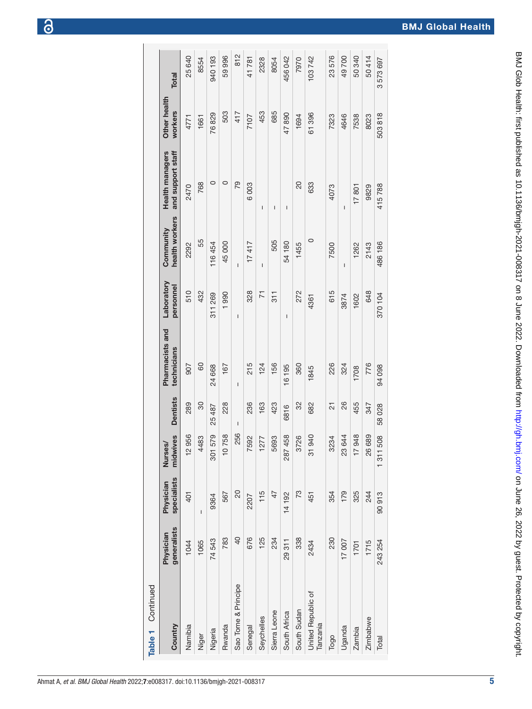| Table 1 Continued              |                          |                          |                        |                                       |                                |                         |                                       |                                      |                         |         |
|--------------------------------|--------------------------|--------------------------|------------------------|---------------------------------------|--------------------------------|-------------------------|---------------------------------------|--------------------------------------|-------------------------|---------|
| Country                        | generalists<br>Physician | specialists<br>Physician | midwives<br>Nurses/    | <b>Dentists</b>                       | Pharmacists and<br>technicians | Laboratory<br>personnel | health workers<br>Community           | and support staff<br>Health managers | Other health<br>workers | Total   |
| Namibia                        | 1044                     | 401                      | 956<br>$\frac{1}{2}$   | 289                                   | 505                            | 510                     | 2292                                  | 2470                                 | 4771                    | 25 640  |
| Niger                          | 1065                     | Ī                        | 4483                   | 30                                    | 60                             | 432                     | 55                                    | 768                                  | 1661                    | 8554    |
| Nigeria                        | 74543                    | 9364                     | 579<br>301             | 25 487                                | 24 668                         | 311 269                 | 116454                                | 0                                    | 76829                   | 940 193 |
| Rwanda                         | 783                      | 567                      | 758                    | 228                                   | 167                            | 1990                    | 45000                                 | 0                                    | 503                     | 59996   |
| Sao Tome & Principe            | $\overline{0}$           | 20                       | 256                    | $\begin{array}{c} \hline \end{array}$ | $\overline{1}$                 | $\mathsf{I}$            | $\overline{1}$                        | 79                                   | 417                     | 812     |
| Senegal                        | 676                      | 2207                     | 7592                   | 236                                   | 215                            | 328                     | 17417                                 | 6003                                 | 7107                    | 41781   |
| Seychelles                     | 125                      | 115                      | 1277                   | 163                                   | 124                            | π                       | $\begin{array}{c} \hline \end{array}$ | Ī                                    | 453                     | 2328    |
| Sierra Leone                   | 234                      | 47                       | 5693                   | 423                                   | 156                            | 311                     | 505                                   | I                                    | 685                     | 8054    |
| South Africa                   | 29311                    | 14 192                   | 458<br>287             | 6816                                  | 16 195                         | I                       | 54180                                 | I                                    | 47890                   | 456042  |
| South Sudan                    | 338                      | 73                       | 3726                   | 32                                    | 360                            | 272                     | 1455                                  | $\overline{20}$                      | 1694                    | 7970    |
| United Republic of<br>Tanzania | 2434                     | 451                      | 940<br>51              | 682                                   | 1845                           | 4361                    | $\circ$                               | 633                                  | 61396                   | 103742  |
| Togo                           | 230                      | 354                      | 3234                   | $\overline{2}$                        | 226                            | 615                     | 7500                                  | 4073                                 | 7323                    | 23576   |
| Uganda                         | 17007                    | 179                      | 23644                  | 26                                    | 324                            | 3874                    | $\mathbf I$                           | I                                    | 4646                    | 49700   |
| Zambia                         | 1701                     | 325                      | 948<br>$\overline{17}$ | 455                                   | 1708                           | 1602                    | 1262                                  | 17801                                | 7538                    | 50 340  |
| <b>Zimbabwe</b>                | 1715                     | 244                      | 689<br>26              | 347                                   | 776                            | 648                     | 2143                                  | 9829                                 | 8023                    | 50414   |
| Total                          | 243 254                  | 90913                    | 508<br>1311            | 58028                                 | 94 098                         | 370 104                 | 486 186                               | 415788                               | 503818                  | 3573697 |
|                                |                          |                          |                        |                                       |                                |                         |                                       |                                      |                         |         |

5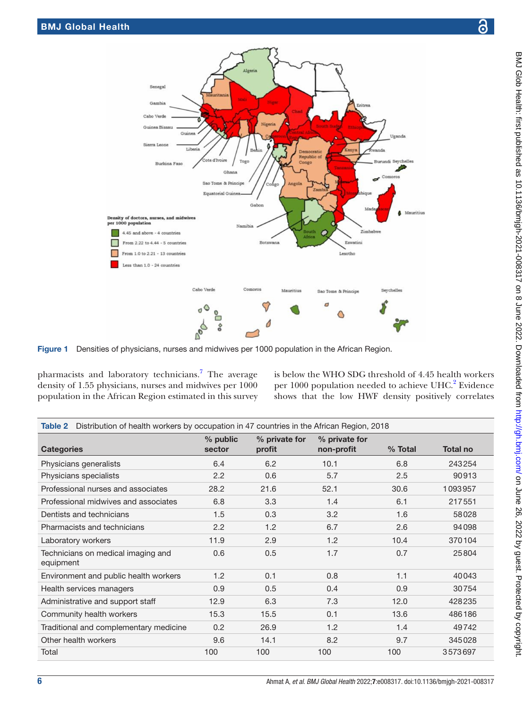



pharmacists and laboratory technicians.<sup>[7](#page-7-7)</sup> The average density of 1.55 physicians, nurses and midwives per 1000 population in the African Region estimated in this survey

Г

<span id="page-5-0"></span>г

is below the WHO SDG threshold of 4.45 health workers per 1000 population needed to achieve UHC.<sup>2</sup> Evidence shows that the low HWF density positively correlates

<span id="page-5-1"></span>

| Distribution of health workers by occupation in 47 countries in the African Region, 2018<br>Table 2 |                    |                         |                             |           |                 |
|-----------------------------------------------------------------------------------------------------|--------------------|-------------------------|-----------------------------|-----------|-----------------|
| <b>Categories</b>                                                                                   | % public<br>sector | % private for<br>profit | % private for<br>non-profit | $%$ Total | <b>Total no</b> |
| Physicians generalists                                                                              | 6.4                | 6.2                     | 10.1                        | 6.8       | 243254          |
| Physicians specialists                                                                              | 2.2                | 0.6                     | 5.7                         | 2.5       | 90913           |
| Professional nurses and associates                                                                  | 28.2               | 21.6                    | 52.1                        | 30.6      | 1093957         |
| Professional midwives and associates                                                                | 6.8                | 3.3                     | 1.4                         | 6.1       | 217551          |
| Dentists and technicians                                                                            | 1.5                | 0.3                     | 3.2                         | 1.6       | 58028           |
| Pharmacists and technicians                                                                         | 2.2                | 1.2                     | 6.7                         | 2.6       | 94098           |
| Laboratory workers                                                                                  | 11.9               | 2.9                     | 1.2                         | 10.4      | 370104          |
| Technicians on medical imaging and<br>equipment                                                     | 0.6                | 0.5                     | 1.7                         | 0.7       | 25804           |
| Environment and public health workers                                                               | 1.2                | 0.1                     | 0.8                         | 1.1       | 40043           |
| Health services managers                                                                            | 0.9                | 0.5                     | 0.4                         | 0.9       | 30754           |
| Administrative and support staff                                                                    | 12.9               | 6.3                     | 7.3                         | 12.0      | 428235          |
| Community health workers                                                                            | 15.3               | 15.5                    | 0.1                         | 13.6      | 486186          |
| Traditional and complementary medicine                                                              | 0.2                | 26.9                    | 1.2                         | 1.4       | 49742           |
| Other health workers                                                                                | 9.6                | 14.1                    | 8.2                         | 9.7       | 345028          |
| Total                                                                                               | 100                | 100                     | 100                         | 100       | 3573697         |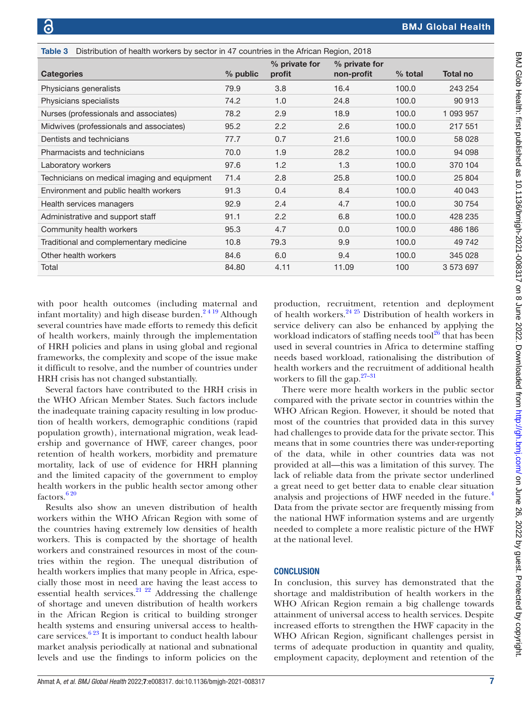<span id="page-6-0"></span>

| Distribution of health workers by sector in 47 countries in the African Region, 2018<br>Table 3 |          |                         |                             |           |                 |
|-------------------------------------------------------------------------------------------------|----------|-------------------------|-----------------------------|-----------|-----------------|
| <b>Categories</b>                                                                               | % public | % private for<br>profit | % private for<br>non-profit | $%$ total | <b>Total no</b> |
| Physicians generalists                                                                          | 79.9     | 3.8                     | 16.4                        | 100.0     | 243 254         |
| Physicians specialists                                                                          | 74.2     | 1.0                     | 24.8                        | 100.0     | 90 913          |
| Nurses (professionals and associates)                                                           | 78.2     | 2.9                     | 18.9                        | 100.0     | 1 093 957       |
| Midwives (professionals and associates)                                                         | 95.2     | 2.2                     | 2.6                         | 100.0     | 217 551         |
| Dentists and technicians                                                                        | 77.7     | 0.7                     | 21.6                        | 100.0     | 58 0 28         |
| Pharmacists and technicians                                                                     | 70.0     | 1.9                     | 28.2                        | 100.0     | 94 098          |
| Laboratory workers                                                                              | 97.6     | 1.2                     | 1.3                         | 100.0     | 370 104         |
| Technicians on medical imaging and equipment                                                    | 71.4     | 2.8                     | 25.8                        | 100.0     | 25 804          |
| Environment and public health workers                                                           | 91.3     | 0.4                     | 8.4                         | 100.0     | 40 043          |
| Health services managers                                                                        | 92.9     | 2.4                     | 4.7                         | 100.0     | 30 754          |
| Administrative and support staff                                                                | 91.1     | 2.2                     | 6.8                         | 100.0     | 428 235         |
| Community health workers                                                                        | 95.3     | 4.7                     | 0.0                         | 100.0     | 486 186         |
| Traditional and complementary medicine                                                          | 10.8     | 79.3                    | 9.9                         | 100.0     | 49 742          |
| Other health workers                                                                            | 84.6     | 6.0                     | 9.4                         | 100.0     | 345 028         |
| Total                                                                                           | 84.80    | 4.11                    | 11.09                       | 100       | 3 573 697       |

with poor health outcomes (including maternal and infant mortality) and high disease burden.<sup>2419</sup> Although several countries have made efforts to remedy this deficit of health workers, mainly through the implementation of HRH policies and plans in using global and regional frameworks, the complexity and scope of the issue make it difficult to resolve, and the number of countries under HRH crisis has not changed substantially.

Several factors have contributed to the HRH crisis in the WHO African Member States. Such factors include the inadequate training capacity resulting in low production of health workers, demographic conditions (rapid population growth), international migration, weak leadership and governance of HWF, career changes, poor retention of health workers, morbidity and premature mortality, lack of use of evidence for HRH planning and the limited capacity of the government to employ health workers in the public health sector among other factors. $620$ 

Results also show an uneven distribution of health workers within the WHO African Region with some of the countries having extremely low densities of health workers. This is compacted by the shortage of health workers and constrained resources in most of the countries within the region. The unequal distribution of health workers implies that many people in Africa, especially those most in need are having the least access to essential health services.<sup>21 22</sup> Addressing the challenge</sup> of shortage and uneven distribution of health workers in the African Region is critical to building stronger health systems and ensuring universal access to healthcare services. $6^{23}$  It is important to conduct health labour market analysis periodically at national and subnational levels and use the findings to inform policies on the

production, recruitment, retention and deployment of health workers. $24.25$  Distribution of health workers in service delivery can also be enhanced by applying the workload indicators of staffing needs tool $^{26}$  that has been used in several countries in Africa to determine staffing needs based workload, rationalising the distribution of health workers and the recruitment of additional health workers to fill the gap. $27-31$ 

There were more health workers in the public sector compared with the private sector in countries within the WHO African Region. However, it should be noted that most of the countries that provided data in this survey had challenges to provide data for the private sector. This means that in some countries there was under-reporting of the data, while in other countries data was not provided at all—this was a limitation of this survey. The lack of reliable data from the private sector underlined a great need to get better data to enable clear situation analysis and projections of HWF needed in the future.<sup>[4](#page-7-2)</sup> Data from the private sector are frequently missing from the national HWF information systems and are urgently needed to complete a more realistic picture of the HWF at the national level.

## **CONCLUSION**

In conclusion, this survey has demonstrated that the shortage and maldistribution of health workers in the WHO African Region remain a big challenge towards attainment of universal access to health services. Despite increased efforts to strengthen the HWF capacity in the WHO African Region, significant challenges persist in terms of adequate production in quantity and quality, employment capacity, deployment and retention of the